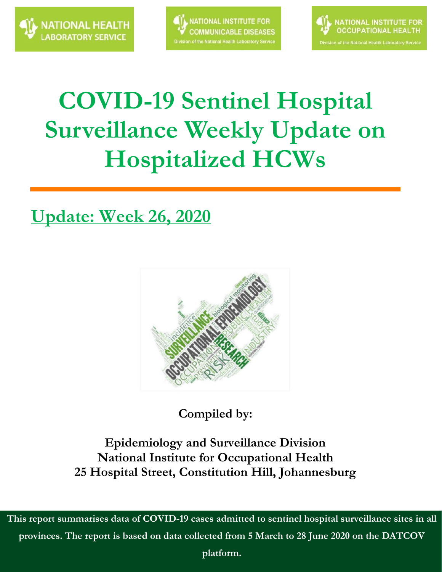



# **COVID-19 Sentinel Hospital Surveillance Weekly Update on Hospitalized HCWs**

### **Update: Week 26, 2020**



**Compiled by:**

**Epidemiology and Surveillance Division National Institute for Occupational Health 25 Hospital Street, Constitution Hill, Johannesburg**

**This report summarises data of COVID-19 cases admitted to sentinel hospital surveillance sites in all provinces. The report is based on data collected from 5 March to 28 June 2020 on the DATCOV** 

**platform.**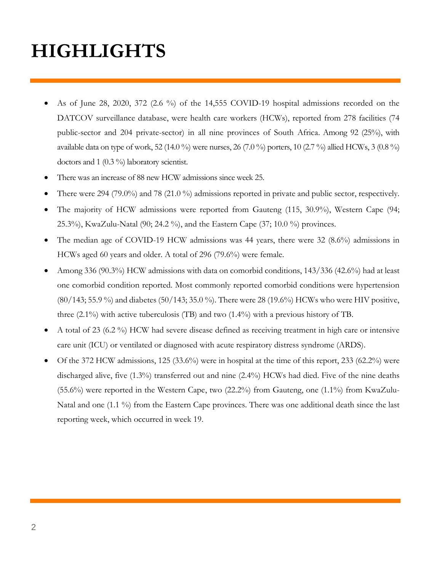# **HIGHLIGHTS**

- As of June 28, 2020, 372 (2.6 %) of the 14,555 COVID-19 hospital admissions recorded on the DATCOV surveillance database, were health care workers (HCWs), reported from 278 facilities (74 public-sector and 204 private-sector) in all nine provinces of South Africa. Among 92 (25%), with available data on type of work, 52 (14.0 %) were nurses, 26 (7.0 %) porters, 10 (2.7 %) allied HCWs, 3 (0.8 %) doctors and 1 (0.3 %) laboratory scientist.
- There was an increase of 88 new HCW admissions since week 25.
- There were 294 (79.0%) and 78 (21.0 %) admissions reported in private and public sector, respectively.
- The majority of HCW admissions were reported from Gauteng (115, 30.9%), Western Cape (94; 25.3%), KwaZulu-Natal (90; 24.2 %), and the Eastern Cape (37; 10.0 %) provinces.
- The median age of COVID-19 HCW admissions was 44 years, there were 32 (8.6%) admissions in HCWs aged 60 years and older. A total of 296 (79.6%) were female.
- Among 336 (90.3%) HCW admissions with data on comorbid conditions, 143/336 (42.6%) had at least one comorbid condition reported. Most commonly reported comorbid conditions were hypertension (80/143; 55.9 %) and diabetes (50/143; 35.0 %). There were 28 (19.6%) HCWs who were HIV positive, three (2.1%) with active tuberculosis (TB) and two (1.4%) with a previous history of TB.
- A total of 23 (6.2 %) HCW had severe disease defined as receiving treatment in high care or intensive care unit (ICU) or ventilated or diagnosed with acute respiratory distress syndrome (ARDS).
- $\bullet$  Of the 372 HCW admissions, 125 (33.6%) were in hospital at the time of this report, 233 (62.2%) were discharged alive, five (1.3%) transferred out and nine (2.4%) HCWs had died. Five of the nine deaths  $(55.6\%)$  were reported in the Western Cape, two  $(22.2\%)$  from Gauteng, one  $(1.1\%)$  from KwaZulu-Natal and one (1.1 %) from the Eastern Cape provinces. There was one additional death since the last reporting week, which occurred in week 19.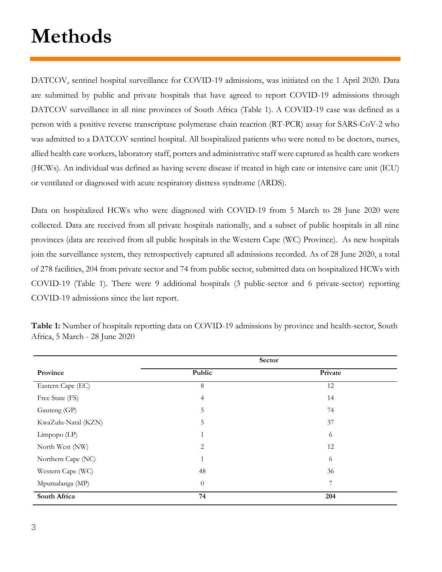# **Methods**

DATCOV, sentinel hospital surveillance for COVID-19 admissions, was initiated on the 1 April 2020. Data are submitted by public and private hospitals that have agreed to report COVID-19 admissions through DATCOV surveillance in all nine provinces of South Africa (Table 1). A COVID-19 case was defined as a person with a positive reverse transcriptase polymerase chain reaction (RT-PCR) assay for SARS-CoV-2 who was admitted to a DATCOV sentinel hospital. All hospitalized patients who were noted to be doctors, nurses, allied health care workers, laboratory staff, porters and administrative staff were captured as health care workers (HCWs). An individual was defined as having severe disease if treated in high care or intensive care unit (ICU) or ventilated or diagnosed with acute respiratory distress syndrome (ARDS).

Data on hospitalized HCWs who were diagnosed with COVID-19 from 5 March to 28 June 2020 were collected. Data are received from all private hospitals nationally, and a subset of public hospitals in all nine provinces (data are received from all public hospitals in the Western Cape (WC) Province). As new hospitals join the surveillance system, they retrospectively captured all admissions recorded. As of 28 June 2020, a total of 278 facilities, 204 from private sector and 74 from public sector, submitted data on hospitalized HCWs with COVID-19 (Table 1). There were 9 additional hospitals (3 public-sector and 6 private-sector) reporting COVID-19 admissions since the last report.

|                     | Sector         |         |  |  |
|---------------------|----------------|---------|--|--|
| Province            | Public         | Private |  |  |
| Eastern Cape (EC)   | 8              | 12      |  |  |
| Free State (FS)     | $\overline{4}$ | 14      |  |  |
| Gauteng (GP)        | 5              | 74      |  |  |
| KwaZulu-Natal (KZN) | 5              | 37      |  |  |
| Limpopo $(LP)$      | 1              | 6       |  |  |
| North West (NW)     | 2              | 12      |  |  |
| Northern Cape (NC)  | $\mathbf{1}$   | 6       |  |  |
| Western Cape (WC)   | 48             | 36      |  |  |
| Mpumalanga (MP)     | $\theta$       | 7       |  |  |
| South Africa        | 74             | 204     |  |  |

**Table 1:** Number of hospitals reporting data on COVID-19 admissions by province and health-sector, South Africa, 5 March - 28 June 2020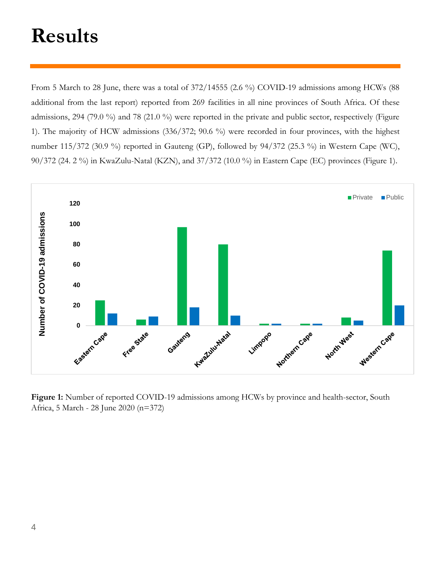# **Results**

From 5 March to 28 June, there was a total of 372/14555 (2.6 %) COVID-19 admissions among HCWs (88 additional from the last report) reported from 269 facilities in all nine provinces of South Africa. Of these admissions, 294 (79.0 %) and 78 (21.0 %) were reported in the private and public sector, respectively (Figure 1). The majority of HCW admissions (336/372; 90.6 %) were recorded in four provinces, with the highest number 115/372 (30.9 %) reported in Gauteng (GP), followed by 94/372 (25.3 %) in Western Cape (WC), 90/372 (24. 2 %) in KwaZulu-Natal (KZN), and 37/372 (10.0 %) in Eastern Cape (EC) provinces (Figure 1).



**Figure 1:** Number of reported COVID-19 admissions among HCWs by province and health-sector, South Africa, 5 March - 28 June 2020 (n=372)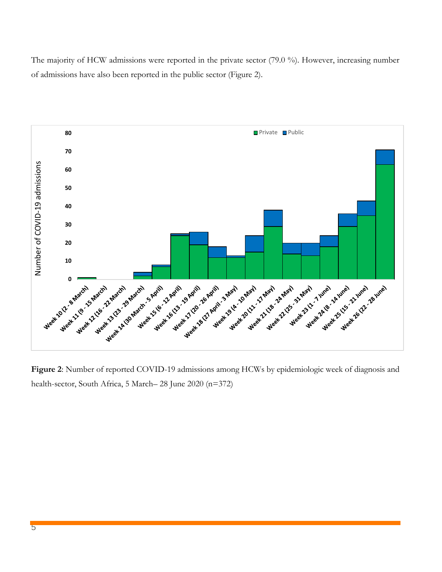The majority of HCW admissions were reported in the private sector (79.0 %). However, increasing number of admissions have also been reported in the public sector (Figure 2).



**Figure 2**: Number of reported COVID-19 admissions among HCWs by epidemiologic week of diagnosis and health-sector, South Africa, 5 March– 28 June 2020 (n=372)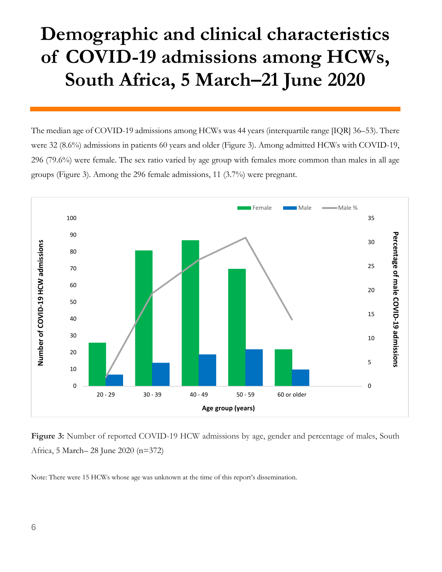### **Demographic and clinical characteristics of COVID-19 admissions among HCWs, South Africa, 5 March–21 June 2020**

The median age of COVID-19 admissions among HCWs was 44 years (interquartile range [IQR] 36–53). There were 32 (8.6%) admissions in patients 60 years and older (Figure 3). Among admitted HCWs with COVID-19, 296 (79.6%) were female. The sex ratio varied by age group with females more common than males in all age groups (Figure 3). Among the 296 female admissions, 11 (3.7%) were pregnant.



**Figure 3:** Number of reported COVID-19 HCW admissions by age, gender and percentage of males, South Africa, 5 March– 28 June 2020 (n=372)

Note: There were 15 HCWs whose age was unknown at the time of this report's dissemination.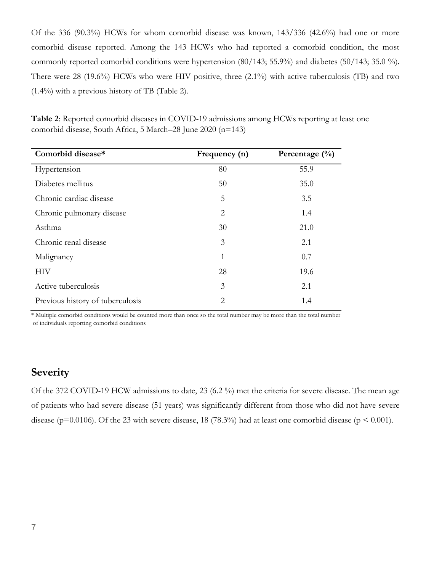Of the 336 (90.3%) HCWs for whom comorbid disease was known, 143/336 (42.6%) had one or more comorbid disease reported. Among the 143 HCWs who had reported a comorbid condition, the most commonly reported comorbid conditions were hypertension (80/143; 55.9%) and diabetes (50/143; 35.0 %). There were 28 (19.6%) HCWs who were HIV positive, three (2.1%) with active tuberculosis (TB) and two (1.4%) with a previous history of TB (Table 2).

| Comorbid disease*                | Frequency (n)  | Percentage $(\% )$ |
|----------------------------------|----------------|--------------------|
| Hypertension                     | 80             | 55.9               |
| Diabetes mellitus                | 50             | 35.0               |
| Chronic cardiac disease          | 5              | 3.5                |
| Chronic pulmonary disease        | 2              | 1.4                |
| Asthma                           | 30             | 21.0               |
| Chronic renal disease            | 3              | 2.1                |
| Malignancy                       | 1              | 0.7                |
| НIV                              | 28             | 19.6               |
| Active tuberculosis              | 3              | 2.1                |
| Previous history of tuberculosis | $\overline{2}$ | 1.4                |

**Table 2**: Reported comorbid diseases in COVID-19 admissions among HCWs reporting at least one comorbid disease, South Africa, 5 March–28 June 2020 (n=143)

\* Multiple comorbid conditions would be counted more than once so the total number may be more than the total number of individuals reporting comorbid conditions

#### **Severity**

Of the 372 COVID-19 HCW admissions to date, 23 (6.2 %) met the criteria for severe disease. The mean age of patients who had severe disease (51 years) was significantly different from those who did not have severe disease ( $p=0.0106$ ). Of the 23 with severe disease, 18 (78.3%) had at least one comorbid disease ( $p < 0.001$ ).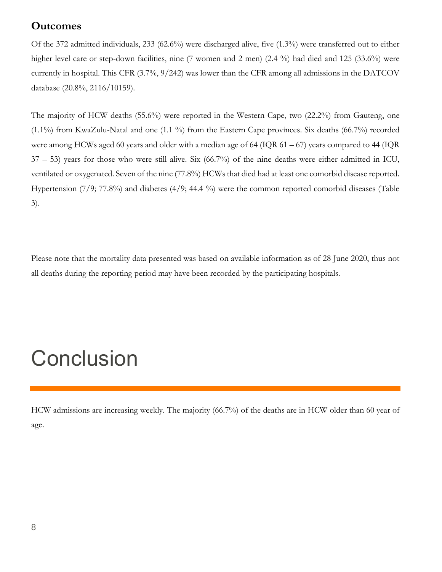#### **Outcomes**

Of the 372 admitted individuals, 233 (62.6%) were discharged alive, five (1.3%) were transferred out to either higher level care or step-down facilities, nine (7 women and 2 men) (2.4 %) had died and 125 (33.6%) were currently in hospital. This CFR (3.7%, 9/242) was lower than the CFR among all admissions in the DATCOV database (20.8%, 2116/10159).

The majority of HCW deaths (55.6%) were reported in the Western Cape, two (22.2%) from Gauteng, one (1.1%) from KwaZulu-Natal and one (1.1 %) from the Eastern Cape provinces. Six deaths (66.7%) recorded were among HCWs aged 60 years and older with a median age of 64 (IQR  $61 - 67$ ) years compared to 44 (IQR 37 – 53) years for those who were still alive. Six (66.7%) of the nine deaths were either admitted in ICU, ventilated or oxygenated. Seven of the nine (77.8%) HCWs that died had at least one comorbid disease reported. Hypertension (7/9; 77.8%) and diabetes (4/9; 44.4 %) were the common reported comorbid diseases (Table 3).

Please note that the mortality data presented was based on available information as of 28 June 2020, thus not all deaths during the reporting period may have been recorded by the participating hospitals.

# **Conclusion**

HCW admissions are increasing weekly. The majority (66.7%) of the deaths are in HCW older than 60 year of age.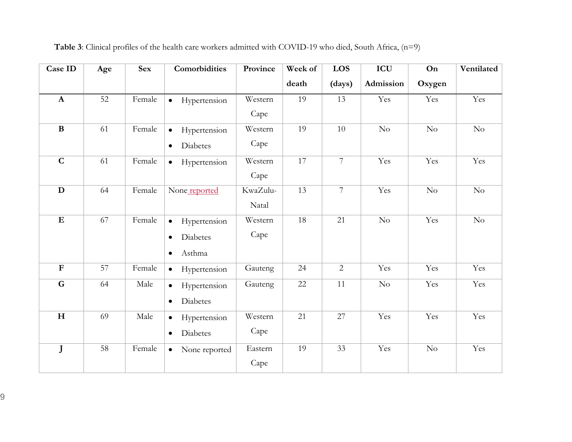| Case ID                 | Age | <b>Sex</b> | Comorbidities              | Province | Week of | LOS            | ICU       | On     | Ventilated |
|-------------------------|-----|------------|----------------------------|----------|---------|----------------|-----------|--------|------------|
|                         |     |            |                            |          | death   | (days)         | Admission | Oxygen |            |
| $\mathbf{A}$            | 52  | Female     | Hypertension<br>$\bullet$  | Western  | 19      | 13             | Yes       | Yes    | Yes        |
|                         |     |            |                            | Cape     |         |                |           |        |            |
| $\bf{B}$                | 61  | Female     | Hypertension<br>$\bullet$  | Western  | 19      | 10             | No        | No     | No         |
|                         |     |            | Diabetes<br>$\bullet$      | Cape     |         |                |           |        |            |
| $\overline{\mathbf{C}}$ | 61  | Female     | Hypertension<br>$\bullet$  | Western  | 17      | $\overline{7}$ | Yes       | Yes    | Yes        |
|                         |     |            |                            | Cape     |         |                |           |        |            |
| $\mathbf D$             | 64  | Female     | None reported              | KwaZulu- | 13      | $\overline{7}$ | Yes       | No     | $\rm No$   |
|                         |     |            |                            | Natal    |         |                |           |        |            |
| ${\bf E}$               | 67  | Female     | Hypertension<br>$\bullet$  | Western  | 18      | 21             | $\rm No$  | Yes    | $\rm No$   |
|                         |     |            | Diabetes<br>$\bullet$      | Cape     |         |                |           |        |            |
|                         |     |            | Asthma<br>$\bullet$        |          |         |                |           |        |            |
| $\overline{\text{F}}$   | 57  | Female     | Hypertension<br>$\bullet$  | Gauteng  | 24      | $\overline{2}$ | Yes       | Yes    | Yes        |
| G                       | 64  | Male       | Hypertension<br>$\bullet$  | Gauteng  | 22      | 11             | No        | Yes    | Yes        |
|                         |     |            | Diabetes<br>$\bullet$      |          |         |                |           |        |            |
| $\mathbf H$             | 69  | Male       | Hypertension<br>$\bullet$  | Western  | 21      | 27             | Yes       | Yes    | Yes        |
|                         |     |            | Diabetes<br>$\bullet$      | Cape     |         |                |           |        |            |
| J                       | 58  | Female     | None reported<br>$\bullet$ | Eastern  | 19      | 33             | Yes       | No     | Yes        |
|                         |     |            |                            | Cape     |         |                |           |        |            |

**Table 3**: Clinical profiles of the health care workers admitted with COVID-19 who died, South Africa, (n=9)